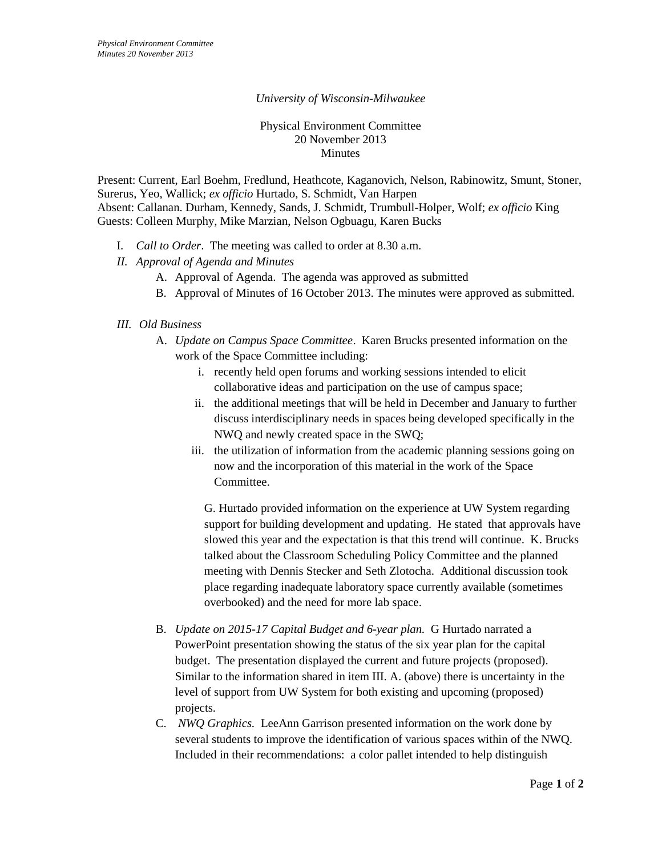## *University of Wisconsin-Milwaukee*

### Physical Environment Committee 20 November 2013 Minutes

Present: Current, Earl Boehm, Fredlund, Heathcote, Kaganovich, Nelson, Rabinowitz, Smunt, Stoner, Surerus, Yeo, Wallick; *ex officio* Hurtado, S. Schmidt, Van Harpen Absent: Callanan. Durham, Kennedy, Sands, J. Schmidt, Trumbull-Holper, Wolf; *ex officio* King Guests: Colleen Murphy, Mike Marzian, Nelson Ogbuagu, Karen Bucks

- I. *Call to Order*. The meeting was called to order at 8.30 a.m.
- *II. Approval of Agenda and Minutes*
	- A. Approval of Agenda. The agenda was approved as submitted
	- B. Approval of Minutes of 16 October 2013. The minutes were approved as submitted.

## *III. Old Business*

- A. *Update on Campus Space Committee*. Karen Brucks presented information on the work of the Space Committee including:
	- i. recently held open forums and working sessions intended to elicit collaborative ideas and participation on the use of campus space;
	- ii. the additional meetings that will be held in December and January to further discuss interdisciplinary needs in spaces being developed specifically in the NWQ and newly created space in the SWQ;
	- iii. the utilization of information from the academic planning sessions going on now and the incorporation of this material in the work of the Space Committee.

G. Hurtado provided information on the experience at UW System regarding support for building development and updating. He stated that approvals have slowed this year and the expectation is that this trend will continue. K. Brucks talked about the Classroom Scheduling Policy Committee and the planned meeting with Dennis Stecker and Seth Zlotocha. Additional discussion took place regarding inadequate laboratory space currently available (sometimes overbooked) and the need for more lab space.

- B. *Update on 2015-17 Capital Budget and 6-year plan.* G Hurtado narrated a PowerPoint presentation showing the status of the six year plan for the capital budget. The presentation displayed the current and future projects (proposed). Similar to the information shared in item III. A. (above) there is uncertainty in the level of support from UW System for both existing and upcoming (proposed) projects.
- C. *NWQ Graphics.* LeeAnn Garrison presented information on the work done by several students to improve the identification of various spaces within of the NWQ. Included in their recommendations: a color pallet intended to help distinguish